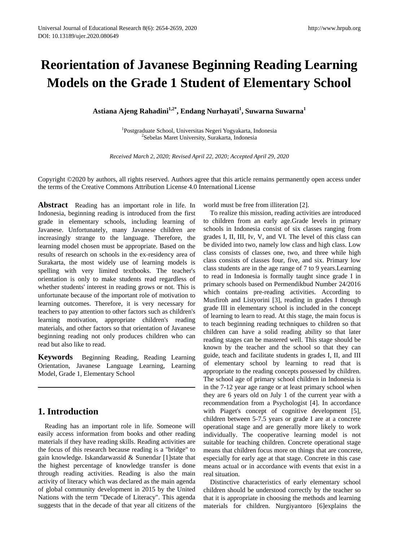# **Reorientation of Javanese Beginning Reading Learning Models on the Grade 1 Student of Elementary School**

**Astiana Ajeng Rahadini1,2\* , Endang Nurhayati<sup>1</sup> , Suwarna Suwarna<sup>1</sup>**

<sup>1</sup>Postgraduate School, Universitas Negeri Yogyakarta, Indonesia<br><sup>2</sup>Sebelas Maret University, Surakarta, Indonesia <sup>2</sup>Sebelas Maret University, Surakarta, Indonesia

*Received March 2, 2020; Revised April 22, 2020; Accepted April 29, 2020*

Copyright ©2020 by authors, all rights reserved. Authors agree that this article remains permanently open access under the terms of the Creative Commons Attribution License 4.0 International License

**Abstract** Reading has an important role in life. In Indonesia, beginning reading is introduced from the first grade in elementary schools, including learning of Javanese. Unfortunately, many Javanese children are increasingly strange to the language. Therefore, the learning model chosen must be appropriate. Based on the results of research on schools in the ex-residency area of Surakarta, the most widely use of learning models is spelling with very limited textbooks. The teacher's orientation is only to make students read regardless of whether students' interest in reading grows or not. This is unfortunate because of the important role of motivation to learning outcomes. Therefore, it is very necessary for teachers to pay attention to other factors such as children's learning motivation, appropriate children's reading materials, and other factors so that orientation of Javanese beginning reading not only produces children who can read but also like to read.

**Keywords** Beginning Reading, Reading Learning Orientation, Javanese Language Learning, Learning Model, Grade 1, Elementary School

# **1. Introduction**

Reading has an important role in life. Someone will easily access information from books and other reading materials if they have reading skills. Reading activities are the focus of this research because reading is a "bridge" to gain knowledge. Iskandarwassid & Sunendar [1]state that the highest percentage of knowledge transfer is done through reading activities. Reading is also the main activity of literacy which was declared as the main agenda of global community development in 2015 by the United Nations with the term "Decade of Literacy". This agenda suggests that in the decade of that year all citizens of the world must be free from illiteration [2].

To realize this mission, reading activities are introduced to children from an early age.Grade levels in primary schools in Indonesia consist of six classes ranging from grades I, II, III, Iv, V, and VI. The level of this class can be divided into two, namely low class and high class. Low class consists of classes one, two, and three while high class consists of classes four, five, and six. Primary low class students are in the age range of 7 to 9 years.Learning to read in Indonesia is formally taught since grade I in primary schools based on Permendikbud Number 24/2016 which contains pre-reading activities. According to Musfiroh and Listyorini [3], reading in grades I through grade III in elementary school is included in the concept of learning to learn to read. At this stage, the main focus is to teach beginning reading techniques to children so that children can have a solid reading ability so that later reading stages can be mastered well. This stage should be known by the teacher and the school so that they can guide, teach and facilitate students in grades I, II, and III of elementary school by learning to read that is appropriate to the reading concepts possessed by children. The school age of primary school children in Indonesia is in the 7-12 year age range or at least primary school when they are 6 years old on July 1 of the current year with a recommendation from a Psychologist [4]. In accordance with Piaget's concept of cognitive development [5], children between 5-7.5 years or grade I are at a concrete operational stage and are generally more likely to work individually. The cooperative learning model is not suitable for teaching children. Concrete operational stage means that children focus more on things that are concrete, especially for early age at that stage. Concrete in this case means actual or in accordance with events that exist in a real situation.

Distinctive characteristics of early elementary school children should be understood correctly by the teacher so that it is appropriate in choosing the methods and learning materials for children. Nurgiyantoro [6]explains the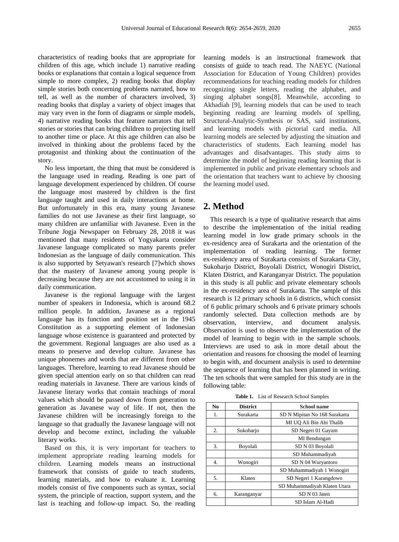characteristics of reading books that are appropriate for children of this age, which include 1) narrative reading books or explanations that contain a logical sequence from simple to more complex, 2) reading books that display simple stories both concerning problems narrated, how to tell, as well as the number of characters involved, 3) reading books that display a variety of object images that may vary even in the form of diagrams or simple models, 4) narrative reading books that feature narrators that tell stories or stories that can bring children to projecting itself to another time or place. At this age children can also be involved in thinking about the problems faced by the protagonist and thinking about the continuation of the story.

No less important, the thing that must be considered is the language used in reading. Reading is one part of language development experienced by children. Of course the language most mastered by children is the first language taught and used in daily interactions at home. But unfortunately in this era, many young Javanese families do not use Javanese as their first language, so many children are unfamiliar with Javanese. Even in the Tribune Jogja Newspaper on February 28, 2018 it was mentioned that many residents of Yogyakarta consider Javanese language complicated so many parents prefer Indonesian as the language of daily communication. This is also supported by Setyawan's research [7]which shows that the mastery of Javanese among young people is decreasing because they are not accustomed to using it in daily communication.

Javanese is the regional language with the largest number of speakers in Indonesia, which is around 68.2 million people. In addition, Javanese as a regional language has its function and position set in the 1945 Constitution as a supporting element of Indonesian language whose existence is guaranteed and protected by the government. Regional languages are also used as a means to preserve and develop culture. Javanese has unique phonemes and words that are different from other languages. Therefore, learning to read Javanese should be given special attention early on so that children can read reading materials in Javanese. There are various kinds of Javanese literary works that contain teachings of moral values which should be passed down from generation to generation as Javanese way of life. If not, then the Javanese children will be increasingly foreign to the language so that gradually the Javanese language will not develop and become extinct, including the valuable literary works.

Based on this, it is very important for teachers to implement appropriate reading learning models for children. Learning models means an instructional framework that consists of guide to teach students, learning materials, and how to evaluate it. Learning models consist of five components such as syntax, social system, the principle of reaction, support system, and the last is teaching and follow-up impact. So, the reading

learning models is an instructional framework that consists of guide to teach read. The NAEYC (National Association for Education of Young Children) provides recommendations for teaching reading models for children recognizing single letters, reading the alphabet, and singing alphabet songs[8]. Meanwhile, according to Akhadiah [9], learning models that can be used to teach beginning reading are learning models of spelling, Structural-Analytic-Synthesis or SAS, said institutions, and learning models with pictorial card media. All learning models are selected by adjusting the situation and characteristics of students. Each learning model has advantages and disadvantages. This study aims to determine the model of beginning reading learning that is implemented in public and private elementary schools and the orientation that teachers want to achieve by choosing the learning model used.

# **2. Method**

This research is a type of qualitative research that aims to describe the implementation of the initial reading learning model in low grade primary schools in the ex-residency area of Surakarta and the orientation of the implementation of reading learning. The former ex-residency area of Surakarta consists of Surakarta City, Sukoharjo District, Boyolali District, Wonogiri District, Klaten District, and Karanganyar District. The population in this study is all public and private elementary schools in the ex-residency area of Surakarta. The sample of this research is 12 primary schools in 6 districts, which consist of 6 public primary schools and 6 private primary schools randomly selected. Data collection methods are by observation, interview, and document analysis. Observation is used to observe the implementation of the model of learning to begin with in the sample schools. Interviews are used to ask in more detail about the orientation and reasons for choosing the model of learning to begin with, and document analysis is used to determine the sequence of learning that has been planned in writing. The ten schools that were sampled for this study are in the following table:

|  | Table 1. List of Research School Samples |  |  |
|--|------------------------------------------|--|--|
|--|------------------------------------------|--|--|

| N <sub>0</sub> | <b>District</b> | <b>School name</b>            |
|----------------|-----------------|-------------------------------|
| 1.             | Surakarta       | SD N Mipitan No 168 Surakarta |
|                |                 | MI UO Ali Bin Abi Thalib      |
| 2.             | Sukoharjo       | SD Negeri 01 Gayam            |
|                |                 | MI Bendungan                  |
| 3.             | Boyolali        | SD N 03 Boyolali              |
|                |                 | SD Muhammadiyah               |
| 4.             | Wonogiri        | SD N 04 Wuryantoro            |
|                |                 | SD Muhammadiyah 1 Wonogiri    |
| 5.             | Klaten          | SD Negeri 1 Karangdowo        |
|                |                 | SD Muhammadiyah Klaten Utara  |
| б.             | Karanganyar     | SD N 03 Jaten                 |
|                |                 | SD Islam Al-Hadi              |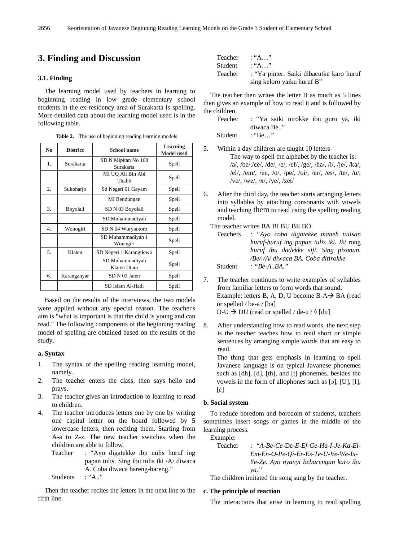# **3. Finding and Discussion**

#### **3.1. Finding**

The learning model used by teachers in learning to beginning reading in low grade elementary school students in the ex-residency area of Surakarta is spelling. More detailed data about the learning model used is in the following table.

|  | <b>Table 2.</b> The use of beginning reading learning models |  |  |  |  |
|--|--------------------------------------------------------------|--|--|--|--|
|--|--------------------------------------------------------------|--|--|--|--|

| N <sub>0</sub> | <b>District</b> | <b>School name</b>               | Learning<br><b>Model</b> used |
|----------------|-----------------|----------------------------------|-------------------------------|
| 1.             | Surakarta       | SD N Mipitan No 168<br>Surakarta | Spell                         |
|                |                 | MI UQ Ali Bin Abi<br>Thalib      | Spell                         |
| 2.             | Sukoharjo       | Sd Negeri 01 Gayam               | Spell                         |
|                |                 | MI Bendungan                     | Spell                         |
| 3.             | Boyolali        | SD N 03 Boyolali                 | Spell                         |
|                |                 | SD Muhammadiyah                  | Spell                         |
| 4.             | Wonogiri        | SD N 04 Wuryantoro               | Spell                         |
|                |                 | SD Muhammadiyah 1<br>Wonogiri    | Spell                         |
| 5.             | Klaten          | SD Negeri 1 Karangdowo           | Spell                         |
|                |                 | SD Muhammadiyah<br>Klaten Utara  | Spell                         |
| 6.             | Karanganyar     | SD N 03 Jaten                    | Spell                         |
|                |                 | SD Islam Al-Hadi                 | Spell                         |

Based on the results of the interviews, the two models were applied without any special reason. The teacher's aim is "what is important is that the child is young and can read." The following components of the beginning reading model of spelling are obtained based on the results of the study.

### **a. Syntax**

- 1. The syntax of the spelling reading learning model, namely.
- 2. The teacher enters the class, then says hello and prays.
- 3. The teacher gives an introduction to learning to read to children.
- 4. The teacher introduces letters one by one by writing one capital letter on the board followed by 5 lowercase letters, then reciting them. Starting from A-a to Z-z. The new teacher switches when the children are able to follow.
	- Teacher : "Ayo digatekke ibu nulis huruf ing papan tulis. Sing ibu tulis iki /A/ diwaca A. Coba diwaca bareng-bareng." Students : "A.."

Then the teacher recites the letters in the next line to the fifth line.

|         | Teacher : "A"                            |
|---------|------------------------------------------|
| Student | $\cdot$ "A"                              |
| Teacher | : "Ya pinter. Saiki dibacutke karo huruf |
|         | sing keloro yaiku huruf B"               |

The teacher then writes the letter B as much as 5 lines then gives an example of how to read it and is followed by the children.

Teacher : "Ya saiki nirokke ibu guru ya, iki diwaca Be.." Student : "Be..."

5. Within a day children are taught 10 letters The way to spell the alphabet by the teacher is: /a/, /be/,/ce/, /de/, /e/, /ef/, /ge/, /ha/, /i/, /je/, /ka/, /el/, /em/, /en, /o/, /pe/, /qi/, /er/, /es/, /te/, /u/, /ve/, /we/, /x/, /ye/, /zet/

6. After the third day, the teacher starts arranging letters into syllables by attaching consonants with vowels and teaching them to read using the spelling reading model.

The teacher writes BA BI BU BE BO.

Teachers *: "Ayo coba digatekke maneh tulisan huruf-huruf ing papan tulis iki. Iki* rong *huruf ibu dadekke siji. Sing pisanan. /Be/-/A/ diwaca BA. Coba ditirokke.* Student *: "Be-A..BA."*

- 7. The teacher continues to write examples of syllables from familiar letters to form words that sound. Example: letters B, A, D, U become  $B-A \rightarrow BA$  (read or spelled / be-a / [ba]  $D-U \rightarrow DU$  (read or spelled / de-u /  $\Diamond$  [du]
- 8. After understanding how to read words, the next step is the teacher teaches how to read short or simple sentences by arranging simple words that are easy to read.

The thing that gets emphasis in learning to spell Javanese language is on typical Javanese phonemes such as [dh], [d], [th], and [t] phonemes. besides the vowels in the form of allophones such as [ɔ], [U], [I],  $[\epsilon]$ 

#### **b. Social system**

To reduce boredom and boredom of students, teachers sometimes insert songs or games in the middle of the learning process.

Example:

Teacher : *"A-Be-Ce-*De*-E-Ef-Ge-Ha-I-Je-Ka-El-Em-En-O-Pe-Qi-Er-Es-Te-U-Ve-We-Ix-Ye-Ze. Ayo nyanyi bebarengan karo ibu ya."*

The children imitated the song sung by the teacher.

#### **c. The principle of reaction**

The interactions that arise in learning to read spelling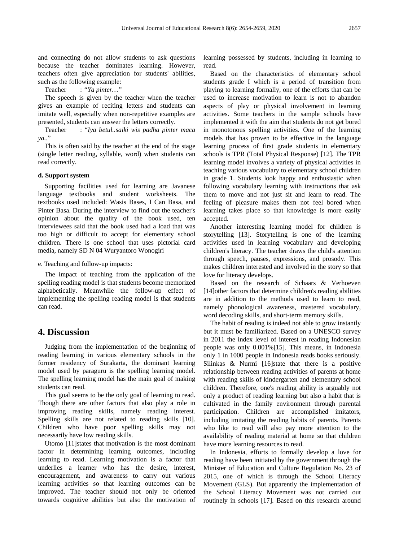and connecting do not allow students to ask questions because the teacher dominates learning. However, teachers often give appreciation for students' abilities, such as the following example:

Teacher : *"Ya pinter…"* 

The speech is given by the teacher when the teacher gives an example of reciting letters and students can imitate well, especially when non-repetitive examples are presented, students can answer the letters correctly.

Teacher : "*Iya betul..saiki wis padha pinter maca ya.*."

This is often said by the teacher at the end of the stage (single letter reading, syllable, word) when students can read correctly.

#### **d. Support system**

Supporting facilities used for learning are Javanese language textbooks and student worksheets. The textbooks used included: Wasis Bases, I Can Basa, and Pinter Basa. During the interview to find out the teacher's opinion about the quality of the book used, ten interviewees said that the book used had a load that was too high or difficult to accept for elementary school children. There is one school that uses pictorial card media, namely SD N 04 Wuryantoro Wonogiri

e. Teaching and follow-up impacts:

The impact of teaching from the application of the spelling reading model is that students become memorized alphabetically. Meanwhile the follow-up effect of implementing the spelling reading model is that students can read.

## **4. Discussion**

Judging from the implementation of the beginning of reading learning in various elementary schools in the former residency of Surakarta, the dominant learning model used by paraguru is the spelling learning model. The spelling learning model has the main goal of making students can read.

This goal seems to be the only goal of learning to read. Though there are other factors that also play a role in improving reading skills, namely reading interest. Spelling skills are not related to reading skills [10]. Children who have poor spelling skills may not necessarily have low reading skills.

Utomo [11]states that motivation is the most dominant factor in determining learning outcomes, including learning to read. Learning motivation is a factor that underlies a learner who has the desire, interest, encouragement, and awareness to carry out various learning activities so that learning outcomes can be improved. The teacher should not only be oriented towards cognitive abilities but also the motivation of learning possessed by students, including in learning to read.

Based on the characteristics of elementary school students grade I which is a period of transition from playing to learning formally, one of the efforts that can be used to increase motivation to learn is not to abandon aspects of play or physical involvement in learning activities. Some teachers in the sample schools have implemented it with the aim that students do not get bored in monotonous spelling activities. One of the learning models that has proven to be effective in the language learning process of first grade students in elementary schools is TPR (Total Physical Response) [12]. The TPR learning model involves a variety of physical activities in teaching various vocabulary to elementary school children in grade 1. Students look happy and enthusiastic when following vocabulary learning with instructions that ask them to move and not just sit and learn to read. The feeling of pleasure makes them not feel bored when learning takes place so that knowledge is more easily accepted.

Another interesting learning model for children is storytelling [13]. Storytelling is one of the learning activities used in learning vocabulary and developing children's literacy. The teacher draws the child's attention through speech, pauses, expressions, and prosody. This makes children interested and involved in the story so that love for literacy develops.

Based on the research of Schaars & Verhoeven [14] other factors that determine children's reading abilities are in addition to the methods used to learn to read, namely phonological awareness, mastered vocabulary, word decoding skills, and short-term memory skills.

The habit of reading is indeed not able to grow instantly but it must be familiarized. Based on a UNESCO survey in 2011 the index level of interest in reading Indonesian people was only 0.001%[15]. This means, in Indonesia only 1 in 1000 people in Indonesia reads books seriously. Silinkas & Nurmi [16]state that there is a positive relationship between reading activities of parents at home with reading skills of kindergarten and elementary school children. Therefore, one's reading ability is arguably not only a product of reading learning but also a habit that is cultivated in the family environment through parental participation. Children are accomplished imitators, including imitating the reading habits of parents. Parents who like to read will also pay more attention to the availability of reading material at home so that children have more learning resources to read.

In Indonesia, efforts to formally develop a love for reading have been initiated by the government through the Minister of Education and Culture Regulation No. 23 of 2015, one of which is through the School Literacy Movement (GLS). But apparently the implementation of the School Literacy Movement was not carried out routinely in schools [17]. Based on this research around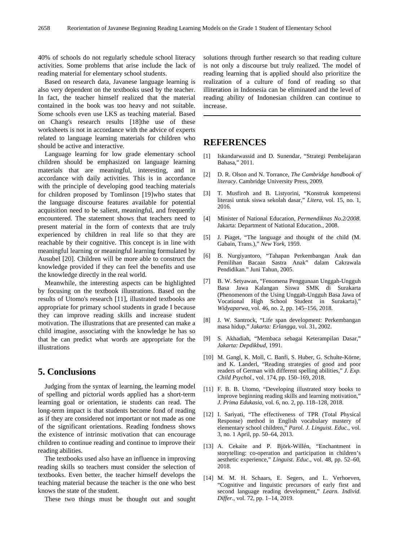40% of schools do not regularly schedule school literacy activities. Some problems that arise include the lack of reading material for elementary school students.

Based on research data, Javanese language learning is also very dependent on the textbooks used by the teacher. In fact, the teacher himself realized that the material contained in the book was too heavy and not suitable. Some schools even use LKS as teaching material. Based on Chang's research results [18]the use of these worksheets is not in accordance with the advice of experts related to language learning materials for children who should be active and interactive.

Language learning for low grade elementary school children should be emphasized on language learning materials that are meaningful, interesting, and in accordance with daily activities. This is in accordance with the principle of developing good teaching materials for children proposed by Tomlinson [19]who states that the language discourse features available for potential acquisition need to be salient, meaningful, and frequently encountered. The statement shows that teachers need to present material in the form of contexts that are truly experienced by children in real life so that they are reachable by their cognitive. This concept is in line with meaningful learning or meaningful learning formulated by Ausubel [20]. Children will be more able to construct the knowledge provided if they can feel the benefits and use the knowledge directly in the real world.

Meanwhile, the interesting aspects can be highlighted by focusing on the textbook illustrations. Based on the results of Utomo's research [11], illustrated textbooks are appropriate for primary school students in grade I because they can improve reading skills and increase student motivation. The illustrations that are presented can make a child imagine, associating with the knowledge he has so that he can predict what words are appropriate for the illustrations

# **5. Conclusions**

Judging from the syntax of learning, the learning model of spelling and pictorial words applied has a short-term learning goal or orientation, ie students can read. The long-term impact is that students become fond of reading as if they are considered not important or not made as one of the significant orientations. Reading fondness shows the existence of intrinsic motivation that can encourage children to continue reading and continue to improve their reading abilities.

The textbooks used also have an influence in improving reading skills so teachers must consider the selection of textbooks. Even better, the teacher himself develops the teaching material because the teacher is the one who best knows the state of the student.

These two things must be thought out and sought

solutions through further research so that reading culture is not only a discourse but truly realized. The model of reading learning that is applied should also prioritize the realization of a culture of fond of reading so that illiteration in Indonesia can be eliminated and the level of reading ability of Indonesian children can continue to increase.

# **REFERENCES**

- [1] Iskandarwassid and D. Sunendar, "Strategi Pembelajaran Bahasa," 2011.
- [2] D. R. Olson and N. Torrance, *The Cambridge handbook of literacy*. Cambridge University Press, 2009.
- [3] T. Musfiroh and B. Listyorini, "Konstruk kompetensi literasi untuk siswa sekolah dasar," *Litera*, vol. 15, no. 1, 2016.
- [4] Minister of National Education, *Permendiknas No.2/2008*. Jakarta: Department of National Education., 2008.
- [5] J. Piaget, "The language and thought of the child (M. Gabain, Trans.)," *New York*, 1959.
- [6] B. Nurgiyantoro, "Tahapan Perkembangan Anak dan Pemilihan Bacaan Sastra Anak" dalam Cakrawala Pendidikan." Juni Tahun, 2005.
- [7] B. W. Setyawan, "Fenomena Penggunaan Unggah-Ungguh Basa Jawa Kalangan Siswa SMK di Surakarta (Phenomenom of the Using Unggah-Ungguh Basa Jawa of Vocational High School Student in Surakarta)," *Widyaparwa*, vol. 46, no. 2, pp. 145–156, 2018.
- [8] J. W. Santrock, "Life span development: Perkembangan masa hidup," *Jakarta: Erlangga*, vol. 31, 2002.
- [9] S. Akhadiah, "Membaca sebagai Keterampilan Dasar," *Jakarta: Depdikbud*, 1991.
- [10] M. Gangl, K. Moll, C. Banfi, S. Huber, G. Schulte-Körne, and K. Landerl, "Reading strategies of good and poor readers of German with different spelling abilities," *J. Exp. Child Psychol.*, vol. 174, pp. 150–169, 2018.
- [11] F. B. B. Utomo, "Developing illustrated story books to improve beginning reading skills and learning motivation," *J. Prima Edukasia*, vol. 6, no. 2, pp. 118–128, 2018.
- [12] I. Sariyati, "The effectiveness of TPR (Total Physical Response) method in English vocabulary mastery of elementary school children," *Parol. J. Linguist. Educ.*, vol. 3, no. 1 April, pp. 50–64, 2013.
- [13] A. Cekaite and P. Björk-Willén, "Enchantment in storytelling: co-operation and participation in children's aesthetic experience," *Linguist. Educ.*, vol. 48, pp. 52–60, 2018.
- [14] M. M. H. Schaars, E. Segers, and L. Verhoeven, "Cognitive and linguistic precursors of early first and second language reading development," *Learn. Individ. Differ.*, vol. 72, pp. 1–14, 2019.